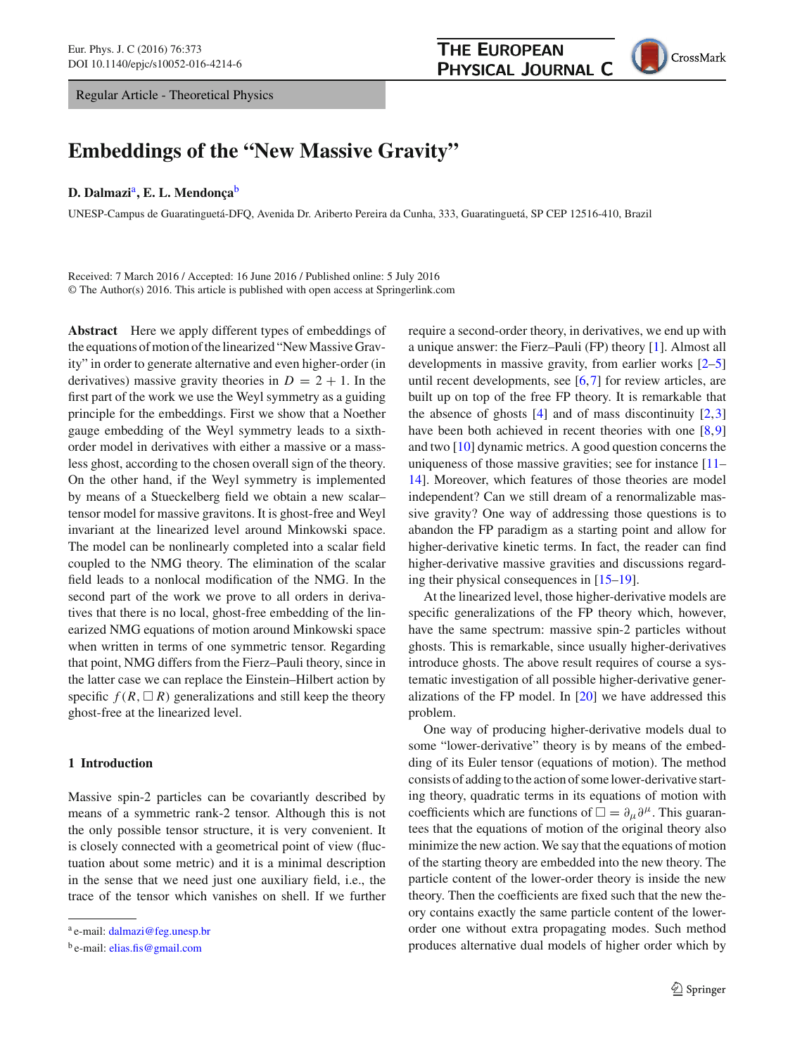Regular Article - Theoretical Physics



# **Embeddings of the "New Massive Gravity"**

#### **D. Dalmazi**a**, E. L. Mendonça**<sup>b</sup>

UNESP-Campus de Guaratinguetá-DFQ, Avenida Dr. Ariberto Pereira da Cunha, 333, Guaratinguetá, SP CEP 12516-410, Brazil

Received: 7 March 2016 / Accepted: 16 June 2016 / Published online: 5 July 2016 © The Author(s) 2016. This article is published with open access at Springerlink.com

**Abstract** Here we apply different types of embeddings of the equations of motion of the linearized "New Massive Gravity" in order to generate alternative and even higher-order (in derivatives) massive gravity theories in  $D = 2 + 1$ . In the first part of the work we use the Weyl symmetry as a guiding principle for the embeddings. First we show that a Noether gauge embedding of the Weyl symmetry leads to a sixthorder model in derivatives with either a massive or a massless ghost, according to the chosen overall sign of the theory. On the other hand, if the Weyl symmetry is implemented by means of a Stueckelberg field we obtain a new scalar– tensor model for massive gravitons. It is ghost-free and Weyl invariant at the linearized level around Minkowski space. The model can be nonlinearly completed into a scalar field coupled to the NMG theory. The elimination of the scalar field leads to a nonlocal modification of the NMG. In the second part of the work we prove to all orders in derivatives that there is no local, ghost-free embedding of the linearized NMG equations of motion around Minkowski space when written in terms of one symmetric tensor. Regarding that point, NMG differs from the Fierz–Pauli theory, since in the latter case we can replace the Einstein–Hilbert action by specific  $f(R, \Box R)$  generalizations and still keep the theory ghost-free at the linearized level.

# **1 Introduction**

Massive spin-2 particles can be covariantly described by means of a symmetric rank-2 tensor. Although this is not the only possible tensor structure, it is very convenient. It is closely connected with a geometrical point of view (fluctuation about some metric) and it is a minimal description in the sense that we need just one auxiliary field, i.e., the trace of the tensor which vanishes on shell. If we further

require a second-order theory, in derivatives, we end up with a unique answer: the Fierz–Pauli (FP) theory [\[1](#page-8-0)]. Almost all developments in massive gravity, from earlier works [\[2](#page-8-1)[–5\]](#page-8-2) until recent developments, see [\[6](#page-8-3)[,7](#page-8-4)] for review articles, are built up on top of the free FP theory. It is remarkable that the absence of ghosts  $[4]$  $[4]$  and of mass discontinuity  $[2,3]$  $[2,3]$ have been both achieved in recent theories with one [\[8,](#page-8-7)[9\]](#page-8-8) and two [\[10\]](#page-8-9) dynamic metrics. A good question concerns the uniqueness of those massive gravities; see for instance [\[11](#page-8-10)– [14](#page-8-11)]. Moreover, which features of those theories are model independent? Can we still dream of a renormalizable massive gravity? One way of addressing those questions is to abandon the FP paradigm as a starting point and allow for higher-derivative kinetic terms. In fact, the reader can find higher-derivative massive gravities and discussions regarding their physical consequences in [\[15](#page-8-12)[–19](#page-8-13)].

At the linearized level, those higher-derivative models are specific generalizations of the FP theory which, however, have the same spectrum: massive spin-2 particles without ghosts. This is remarkable, since usually higher-derivatives introduce ghosts. The above result requires of course a systematic investigation of all possible higher-derivative generalizations of the FP model. In [\[20](#page-8-14)] we have addressed this problem.

One way of producing higher-derivative models dual to some "lower-derivative" theory is by means of the embedding of its Euler tensor (equations of motion). The method consists of adding to the action of some lower-derivative starting theory, quadratic terms in its equations of motion with coefficients which are functions of  $\Box = \partial_\mu \partial^\mu$ . This guarantees that the equations of motion of the original theory also minimize the new action. We say that the equations of motion of the starting theory are embedded into the new theory. The particle content of the lower-order theory is inside the new theory. Then the coefficients are fixed such that the new theory contains exactly the same particle content of the lowerorder one without extra propagating modes. Such method produces alternative dual models of higher order which by

<sup>a</sup> e-mail: [dalmazi@feg.unesp.br](mailto:dalmazi@feg.unesp.br)

<sup>b</sup> e-mail: [elias.fis@gmail.com](mailto:elias.fis@gmail.com)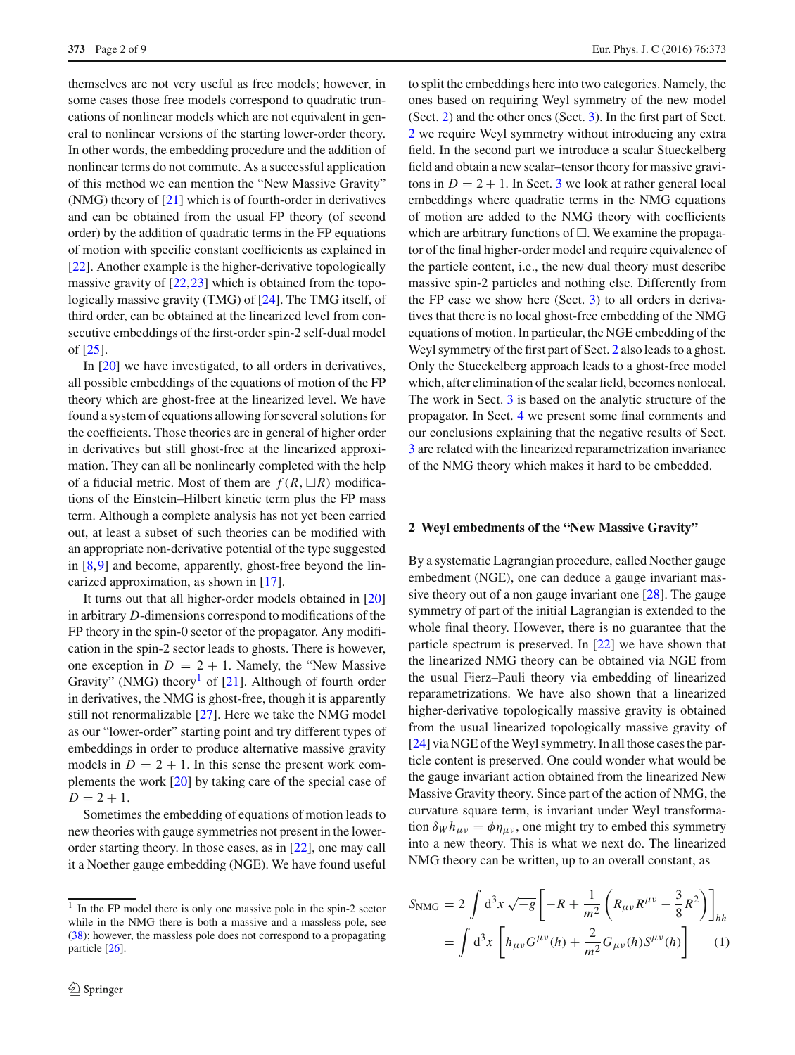themselves are not very useful as free models; however, in some cases those free models correspond to quadratic truncations of nonlinear models which are not equivalent in general to nonlinear versions of the starting lower-order theory. In other words, the embedding procedure and the addition of nonlinear terms do not commute. As a successful application of this method we can mention the "New Massive Gravity" (NMG) theory of [\[21](#page-8-15)] which is of fourth-order in derivatives and can be obtained from the usual FP theory (of second order) by the addition of quadratic terms in the FP equations of motion with specific constant coefficients as explained in [\[22](#page-8-16)]. Another example is the higher-derivative topologically massive gravity of  $[22, 23]$  $[22, 23]$  which is obtained from the topologically massive gravity (TMG) of [\[24\]](#page-8-18). The TMG itself, of third order, can be obtained at the linearized level from consecutive embeddings of the first-order spin-2 self-dual model of [\[25](#page-8-19)].

In [\[20\]](#page-8-14) we have investigated, to all orders in derivatives, all possible embeddings of the equations of motion of the FP theory which are ghost-free at the linearized level. We have found a system of equations allowing for several solutions for the coefficients. Those theories are in general of higher order in derivatives but still ghost-free at the linearized approximation. They can all be nonlinearly completed with the help of a fiducial metric. Most of them are  $f(R, \Box R)$  modifications of the Einstein–Hilbert kinetic term plus the FP mass term. Although a complete analysis has not yet been carried out, at least a subset of such theories can be modified with an appropriate non-derivative potential of the type suggested in [\[8](#page-8-7)[,9](#page-8-8)] and become, apparently, ghost-free beyond the linearized approximation, as shown in [\[17\]](#page-8-20).

It turns out that all higher-order models obtained in [\[20\]](#page-8-14) in arbitrary *D*-dimensions correspond to modifications of the FP theory in the spin-0 sector of the propagator. Any modification in the spin-2 sector leads to ghosts. There is however, one exception in  $D = 2 + 1$ . Namely, the "New Massive" Gravity" (NMG) theory<sup>[1](#page-1-0)</sup> of [\[21](#page-8-15)]. Although of fourth order in derivatives, the NMG is ghost-free, though it is apparently still not renormalizable [\[27\]](#page-8-21). Here we take the NMG model as our "lower-order" starting point and try different types of embeddings in order to produce alternative massive gravity models in  $D = 2 + 1$ . In this sense the present work complements the work [\[20](#page-8-14)] by taking care of the special case of  $D = 2 + 1$ .

Sometimes the embedding of equations of motion leads to new theories with gauge symmetries not present in the lowerorder starting theory. In those cases, as in [\[22](#page-8-16)], one may call it a Noether gauge embedding (NGE). We have found useful to split the embeddings here into two categories. Namely, the ones based on requiring Weyl symmetry of the new model (Sect. [2\)](#page-1-1) and the other ones (Sect. [3\)](#page-2-0). In the first part of Sect. [2](#page-1-1) we require Weyl symmetry without introducing any extra field. In the second part we introduce a scalar Stueckelberg field and obtain a new scalar–tensor theory for massive gravitons in  $D = 2 + 1$ . In Sect. [3](#page-2-0) we look at rather general local embeddings where quadratic terms in the NMG equations of motion are added to the NMG theory with coefficients which are arbitrary functions of  $\Box$ . We examine the propagator of the final higher-order model and require equivalence of the particle content, i.e., the new dual theory must describe massive spin-2 particles and nothing else. Differently from the FP case we show here (Sect. [3\)](#page-2-0) to all orders in derivatives that there is no local ghost-free embedding of the NMG equations of motion. In particular, the NGE embedding of the Weyl symmetry of the first part of Sect. [2](#page-1-1) also leads to a ghost. Only the Stueckelberg approach leads to a ghost-free model which, after elimination of the scalar field, becomes nonlocal. The work in Sect. [3](#page-2-0) is based on the analytic structure of the propagator. In Sect. [4](#page-6-0) we present some final comments and our conclusions explaining that the negative results of Sect. [3](#page-2-0) are related with the linearized reparametrization invariance of the NMG theory which makes it hard to be embedded.

## <span id="page-1-1"></span>**2 Weyl embedments of the "New Massive Gravity"**

By a systematic Lagrangian procedure, called Noether gauge embedment (NGE), one can deduce a gauge invariant massive theory out of a non gauge invariant one [\[28\]](#page-8-23). The gauge symmetry of part of the initial Lagrangian is extended to the whole final theory. However, there is no guarantee that the particle spectrum is preserved. In [\[22\]](#page-8-16) we have shown that the linearized NMG theory can be obtained via NGE from the usual Fierz–Pauli theory via embedding of linearized reparametrizations. We have also shown that a linearized higher-derivative topologically massive gravity is obtained from the usual linearized topologically massive gravity of [\[24](#page-8-18)] via NGE of the Weyl symmetry. In all those cases the particle content is preserved. One could wonder what would be the gauge invariant action obtained from the linearized New Massive Gravity theory. Since part of the action of NMG, the curvature square term, is invariant under Weyl transformation  $\delta_W h_{\mu\nu} = \phi \eta_{\mu\nu}$ , one might try to embed this symmetry into a new theory. This is what we next do. The linearized NMG theory can be written, up to an overall constant, as

<span id="page-1-2"></span>
$$
S_{\rm NMG} = 2 \int d^3x \sqrt{-g} \left[ -R + \frac{1}{m^2} \left( R_{\mu\nu} R^{\mu\nu} - \frac{3}{8} R^2 \right) \right]_{hh}
$$
  
= 
$$
\int d^3x \left[ h_{\mu\nu} G^{\mu\nu}(h) + \frac{2}{m^2} G_{\mu\nu}(h) S^{\mu\nu}(h) \right]
$$
 (1)

<span id="page-1-0"></span><sup>&</sup>lt;sup>1</sup> In the FP model there is only one massive pole in the spin-2 sector while in the NMG there is both a massive and a massless pole, see [\(38\)](#page-5-0); however, the massless pole does not correspond to a propagating particle [\[26\]](#page-8-22).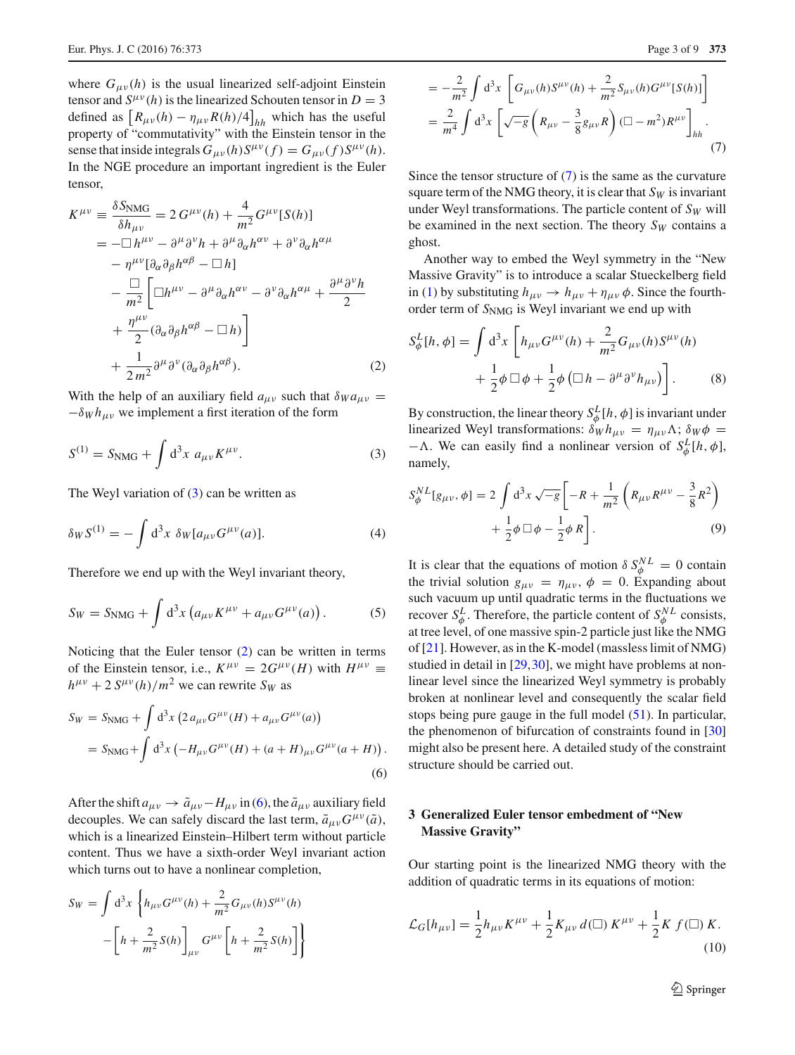where  $G_{\mu\nu}(h)$  is the usual linearized self-adjoint Einstein tensor and  $S^{\mu\nu}(h)$  is the linearized Schouten tensor in  $D = 3$ defined as  $\left[ R_{\mu\nu}(h) - \eta_{\mu\nu} R(h) / 4 \right]_{hh}$  which has the useful property of "commutativity" with the Einstein tensor in the sense that inside integrals  $G_{\mu\nu}(h)S^{\mu\nu}(f) = G_{\mu\nu}(f)S^{\mu\nu}(h)$ . In the NGE procedure an important ingredient is the Euler tensor,

<span id="page-2-2"></span>
$$
K^{\mu\nu} \equiv \frac{\delta S_{\text{NMG}}}{\delta h_{\mu\nu}} = 2 G^{\mu\nu}(h) + \frac{4}{m^2} G^{\mu\nu} [S(h)]
$$
  
\n
$$
= -\Box h^{\mu\nu} - \partial^{\mu} \partial^{\nu} h + \partial^{\mu} \partial_{\alpha} h^{\alpha\nu} + \partial^{\nu} \partial_{\alpha} h^{\alpha\mu}
$$
  
\n
$$
- \eta^{\mu\nu} [\partial_{\alpha} \partial_{\beta} h^{\alpha\beta} - \Box h]
$$
  
\n
$$
- \frac{\Box}{m^2} \Biggl[ \Box h^{\mu\nu} - \partial^{\mu} \partial_{\alpha} h^{\alpha\nu} - \partial^{\nu} \partial_{\alpha} h^{\alpha\mu} + \frac{\partial^{\mu} \partial^{\nu} h}{2}
$$
  
\n
$$
+ \frac{\eta^{\mu\nu}}{2} (\partial_{\alpha} \partial_{\beta} h^{\alpha\beta} - \Box h) \Biggr]
$$
  
\n
$$
+ \frac{1}{2 m^2} \partial^{\mu} \partial^{\nu} (\partial_{\alpha} \partial_{\beta} h^{\alpha\beta}).
$$
 (2)

With the help of an auxiliary field  $a_{\mu\nu}$  such that  $\delta_{W} a_{\mu\nu} =$  $-\delta_W h_{\mu\nu}$  we implement a first iteration of the form

$$
S^{(1)} = S_{\rm NMG} + \int d^3x \ a_{\mu\nu} K^{\mu\nu}.
$$
 (3)

The Weyl variation of  $(3)$  can be written as

$$
\delta_W S^{(1)} = -\int d^3x \ \delta_W [a_{\mu\nu} G^{\mu\nu}(a)]. \tag{4}
$$

Therefore we end up with the Weyl invariant theory,

$$
S_W = S_{\rm NMG} + \int d^3x \left( a_{\mu\nu} K^{\mu\nu} + a_{\mu\nu} G^{\mu\nu}(a) \right). \tag{5}
$$

Noticing that the Euler tensor [\(2\)](#page-2-2) can be written in terms of the Einstein tensor, i.e.,  $K^{\mu\nu} = 2G^{\mu\nu}(H)$  with  $H^{\mu\nu} \equiv$  $h^{\mu\nu}$  + 2 *S*<sup>μν</sup>(*h*)/*m*<sup>2</sup> we can rewrite *S<sub>W</sub>* as

<span id="page-2-3"></span>
$$
S_W = S_{\text{NMG}} + \int d^3x \left( 2 a_{\mu\nu} G^{\mu\nu}(H) + a_{\mu\nu} G^{\mu\nu}(a) \right)
$$
  
=  $S_{\text{NMG}} + \int d^3x \left( -H_{\mu\nu} G^{\mu\nu}(H) + (a + H)_{\mu\nu} G^{\mu\nu}(a + H) \right).$  (6)

After the shift  $a_{\mu\nu} \rightarrow \tilde{a}_{\mu\nu} - H_{\mu\nu}$  in [\(6\)](#page-2-3), the  $\tilde{a}_{\mu\nu}$  auxiliary field decouples. We can safely discard the last term,  $\tilde{a}_{\mu\nu}G^{\mu\nu}(\tilde{a})$ , which is a linearized Einstein–Hilbert term without particle content. Thus we have a sixth-order Weyl invariant action which turns out to have a nonlinear completion,

<span id="page-2-4"></span>
$$
S_W = \int d^3x \left\{ h_{\mu\nu} G^{\mu\nu}(h) + \frac{2}{m^2} G_{\mu\nu}(h) S^{\mu\nu}(h) - \left[ h + \frac{2}{m^2} S(h) \right]_{\mu\nu} G^{\mu\nu} \left[ h + \frac{2}{m^2} S(h) \right] \right\}
$$

$$
= -\frac{2}{m^2} \int d^3 x \left[ G_{\mu\nu}(h) S^{\mu\nu}(h) + \frac{2}{m^2} S_{\mu\nu}(h) G^{\mu\nu}[S(h)] \right]
$$
  

$$
= \frac{2}{m^4} \int d^3 x \left[ \sqrt{-g} \left( R_{\mu\nu} - \frac{3}{8} g_{\mu\nu} R \right) (\Box - m^2) R^{\mu\nu} \right]_{hh} .
$$
 (7)

Since the tensor structure of [\(7\)](#page-2-4) is the same as the curvature square term of the NMG theory, it is clear that  $S_W$  is invariant under Weyl transformations. The particle content of  $S_W$  will be examined in the next section. The theory  $S_W$  contains a ghost.

Another way to embed the Weyl symmetry in the "New Massive Gravity" is to introduce a scalar Stueckelberg field in [\(1\)](#page-1-2) by substituting  $h_{\mu\nu} \rightarrow h_{\mu\nu} + \eta_{\mu\nu} \phi$ . Since the fourthorder term of  $S<sub>NMG</sub>$  is Weyl invariant we end up with

<span id="page-2-6"></span>
$$
S_{\phi}^{L}[h,\phi] = \int d^{3}x \left[ h_{\mu\nu} G^{\mu\nu}(h) + \frac{2}{m^{2}} G_{\mu\nu}(h) S^{\mu\nu}(h) + \frac{1}{2} \phi \Box \phi + \frac{1}{2} \phi \left( \Box h - \partial^{\mu} \partial^{\nu} h_{\mu\nu} \right) \right].
$$
 (8)

<span id="page-2-1"></span>By construction, the linear theory  $S^L_{\phi}[h, \phi]$  is invariant under linearized Weyl transformations:  $\delta_W h_{\mu\nu} = \eta_{\mu\nu} \Lambda$ ;  $\delta_W \phi =$  $-\Lambda$ . We can easily find a nonlinear version of  $S^L_{\phi}[h, \phi]$ , namely,

$$
S_{\phi}^{NL}[g_{\mu\nu}, \phi] = 2 \int d^{3}x \sqrt{-g} \left[ -R + \frac{1}{m^{2}} \left( R_{\mu\nu} R^{\mu\nu} - \frac{3}{8} R^{2} \right) + \frac{1}{2} \phi \Box \phi - \frac{1}{2} \phi R \right].
$$
 (9)

It is clear that the equations of motion  $\delta S_{\phi}^{NL} = 0$  contain the trivial solution  $g_{\mu\nu} = \eta_{\mu\nu}$ ,  $\phi = 0$ . Expanding about such vacuum up until quadratic terms in the fluctuations we recover  $S^L_{\phi}$ . Therefore, the particle content of  $S^{NL}_{\phi}$  consists, at tree level, of one massive spin-2 particle just like the NMG of [\[21](#page-8-15)]. However, as in the K-model (massless limit of NMG) studied in detail in [\[29](#page-8-24),[30](#page-8-25)], we might have problems at nonlinear level since the linearized Weyl symmetry is probably broken at nonlinear level and consequently the scalar field stops being pure gauge in the full model [\(51\)](#page-6-1). In particular, the phenomenon of bifurcation of constraints found in [\[30\]](#page-8-25) might also be present here. A detailed study of the constraint structure should be carried out.

# <span id="page-2-0"></span>**3 Generalized Euler tensor embedment of "New Massive Gravity"**

Our starting point is the linearized NMG theory with the addition of quadratic terms in its equations of motion:

<span id="page-2-5"></span>
$$
\mathcal{L}_G[h_{\mu\nu}] = \frac{1}{2}h_{\mu\nu}K^{\mu\nu} + \frac{1}{2}K_{\mu\nu}d(\square)K^{\mu\nu} + \frac{1}{2}Kf(\square)K.
$$
\n(10)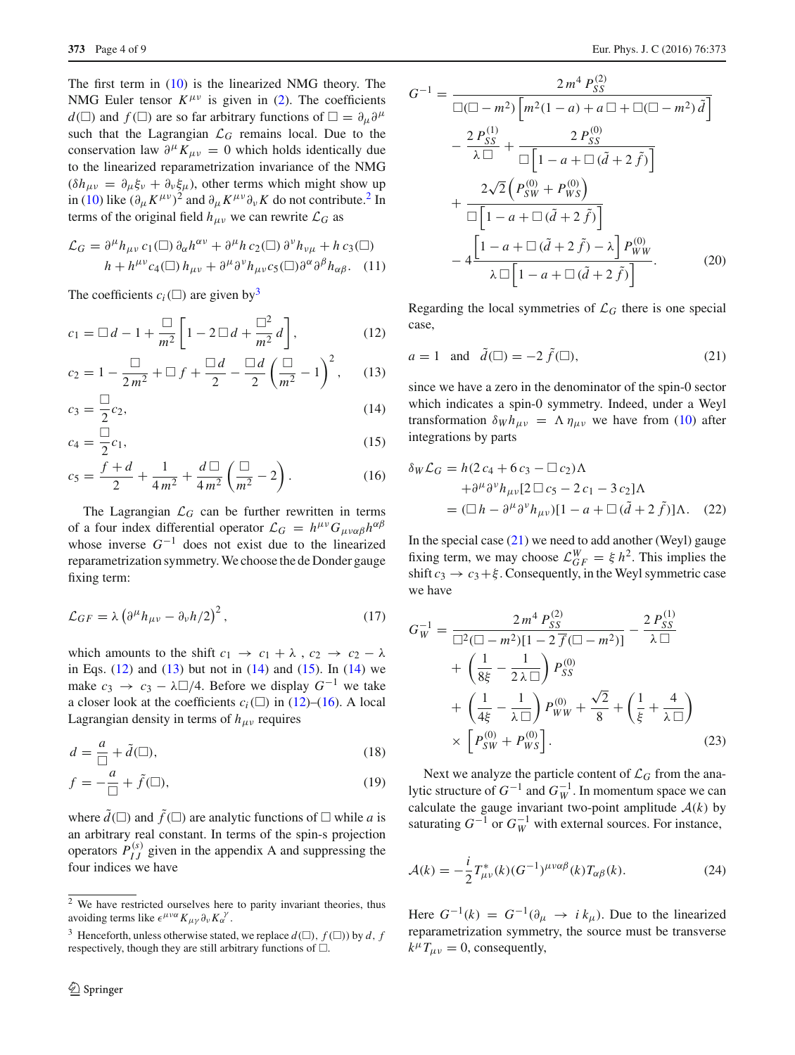The first term in [\(10\)](#page-2-5) is the linearized NMG theory. The NMG Euler tensor  $K^{\mu\nu}$  is given in [\(2\)](#page-2-2). The coefficients  $d(\Box)$  and  $f(\Box)$  are so far arbitrary functions of  $\Box = \partial_{\mu} \partial^{\mu}$ such that the Lagrangian  $\mathcal{L}_G$  remains local. Due to the conservation law  $\partial^{\mu} K_{\mu\nu} = 0$  which holds identically due to the linearized reparametrization invariance of the NMG  $(\delta h_{\mu\nu} = \partial_{\mu} \xi_{\nu} + \partial_{\nu} \xi_{\mu})$ , other terms which might show up in [\(10\)](#page-2-5) like  $(\partial_{\mu} K^{\mu\nu})^2$  $(\partial_{\mu} K^{\mu\nu})^2$  and  $\partial_{\mu} K^{\mu\nu} \partial_{\nu} K$  do not contribute.<sup>2</sup> In terms of the original field  $h_{\mu\nu}$  we can rewrite  $\mathcal{L}_G$  as

<span id="page-3-4"></span>
$$
\mathcal{L}_G = \partial^{\mu} h_{\mu\nu} c_1(\Box) \partial_{\alpha} h^{\alpha\nu} + \partial^{\mu} h c_2(\Box) \partial^{\nu} h_{\nu\mu} + h c_3(\Box)
$$
  

$$
h + h^{\mu\nu} c_4(\Box) h_{\mu\nu} + \partial^{\mu} \partial^{\nu} h_{\mu\nu} c_5(\Box) \partial^{\alpha} \partial^{\beta} h_{\alpha\beta}.
$$
 (11)

The coefficients  $c_i$  ( $\square$ ) are given by<sup>3</sup>

<span id="page-3-2"></span>
$$
c_1 = \Box d - 1 + \frac{\Box}{m^2} \left[ 1 - 2 \Box d + \frac{\Box^2}{m^2} d \right],
$$
 (12)

$$
c_2 = 1 - \frac{\Box}{2m^2} + \Box f + \frac{\Box d}{2} - \frac{\Box d}{2} \left( \frac{\Box}{m^2} - 1 \right)^2, \quad (13)
$$

$$
c_3 = \frac{\Box}{2} c_2, \tag{14}
$$

$$
c_4 = \frac{\square}{2}c_1,\tag{15}
$$

$$
c_5 = \frac{f+d}{2} + \frac{1}{4m^2} + \frac{d\Box}{4m^2} \left(\frac{\Box}{m^2} - 2\right).
$$
 (16)

The Lagrangian  $\mathcal{L}_G$  can be further rewritten in terms of a four index differential operator  $\mathcal{L}_G = h^{\mu\nu} G_{\mu\nu\alpha\beta} h^{\alpha\beta}$ whose inverse  $G^{-1}$  does not exist due to the linearized reparametrization symmetry. We choose the de Donder gauge fixing term:

<span id="page-3-5"></span>
$$
\mathcal{L}_{GF} = \lambda \left( \partial^{\mu} h_{\mu\nu} - \partial_{\nu} h/2 \right)^{2}, \qquad (17)
$$

which amounts to the shift  $c_1 \rightarrow c_1 + \lambda$ ,  $c_2 \rightarrow c_2 - \lambda$ in Eqs.  $(12)$  and  $(13)$  but not in  $(14)$  and  $(15)$ . In  $(14)$  we make  $c_3 \rightarrow c_3 - \lambda \Box/4$ . Before we display  $G^{-1}$  we take a closer look at the coefficients  $c_i(\Box)$  in [\(12\)](#page-3-2)–[\(16\)](#page-3-2). A local Lagrangian density in terms of  $h_{\mu\nu}$  requires

$$
d = \frac{a}{\Box} + \tilde{d}(\Box),\tag{18}
$$

$$
f = -\frac{a}{\Box} + \tilde{f}(\Box),\tag{19}
$$

where  $d(\square)$  and  $f(\square)$  are analytic functions of  $\square$  while a is an arbitrary real constant. In terms of the spin-s projection operators  $P_{IJ}^{(s)}$  given in the appendix A and suppressing the four indices we have

$$
G^{-1} = \frac{2 m^4 P_{SS}^{(2)}}{\square(\square - m^2) \left[ m^2 (1 - a) + a \square + \square(\square - m^2) \tilde{d} \right]}
$$

$$
- \frac{2 P_{SS}^{(1)}}{\lambda \square} + \frac{2 P_{SS}^{(0)}}{\square \left[ 1 - a + \square (\tilde{d} + 2 \tilde{f}) \right]}
$$

$$
+ \frac{2 \sqrt{2} \left( P_{SW}^{(0)} + P_{WS}^{(0)} \right)}{\square \left[ 1 - a + \square (\tilde{d} + 2 \tilde{f}) \right]}
$$

$$
- 4 \frac{\left[ 1 - a + \square (\tilde{d} + 2 \tilde{f}) - \lambda \right] P_{WW}^{(0)}}{\lambda \square \left[ 1 - a + \square (\tilde{d} + 2 \tilde{f}) \right]}.
$$
(20)

Regarding the local symmetries of  $\mathcal{L}_G$  there is one special case,

<span id="page-3-3"></span>
$$
a = 1 \quad \text{and} \quad \tilde{d}(\square) = -2 \tilde{f}(\square), \tag{21}
$$

since we have a zero in the denominator of the spin-0 sector which indicates a spin-0 symmetry. Indeed, under a Weyl transformation  $\delta_W h_{\mu\nu} = \Lambda \eta_{\mu\nu}$  we have from [\(10\)](#page-2-5) after integrations by parts

$$
\delta_W \mathcal{L}_G = h(2 c_4 + 6 c_3 - \Box c_2) \Lambda
$$
  
+  $\partial^{\mu} \partial^{\nu} h_{\mu\nu} [2 \Box c_5 - 2 c_1 - 3 c_2] \Lambda$   
=  $( \Box h - \partial^{\mu} \partial^{\nu} h_{\mu\nu} ) [1 - a + \Box (\tilde{d} + 2 \tilde{f})] \Lambda.$  (22)

In the special case  $(21)$  we need to add another (Weyl) gauge fixing term, we may choose  $\mathcal{L}_{GF}^{W} = \xi h^2$ . This implies the shift  $c_3 \rightarrow c_3+\xi$ . Consequently, in the Weyl symmetric case we have

$$
G_W^{-1} = \frac{2m^4 P_{SS}^{(2)}}{\Box^2 (\Box - m^2)[1 - 2\bar{f}(\Box - m^2)]} - \frac{2P_{SS}^{(1)}}{\lambda \Box} + \left(\frac{1}{8\xi} - \frac{1}{2\lambda \Box}\right) P_{SS}^{(0)} + \left(\frac{1}{4\xi} - \frac{1}{\lambda \Box}\right) P_{WW}^{(0)} + \frac{\sqrt{2}}{8} + \left(\frac{1}{\xi} + \frac{4}{\lambda \Box}\right) \times \left[P_{SW}^{(0)} + P_{WS}^{(0)}\right].
$$
 (23)

Next we analyze the particle content of  $\mathcal{L}_G$  from the analytic structure of  $G^{-1}$  and  $G_W^{-1}$ . In momentum space we can calculate the gauge invariant two-point amplitude  $A(k)$  by saturating  $G^{-1}$  or  $G_W^{-1}$  with external sources. For instance,

<span id="page-3-6"></span>
$$
\mathcal{A}(k) = -\frac{i}{2} T_{\mu\nu}^*(k) (G^{-1})^{\mu\nu\alpha\beta}(k) T_{\alpha\beta}(k).
$$
 (24)

Here  $G^{-1}(k) = G^{-1}(\partial_{\mu} \to i k_{\mu})$ . Due to the linearized reparametrization symmetry, the source must be transverse  $k^{\mu}T_{\mu\nu} = 0$ , consequently,

<span id="page-3-0"></span> $\sqrt{2}$  We have restricted ourselves here to parity invariant theories, thus avoiding terms like  $\epsilon^{\mu\nu\alpha} K_{\mu\gamma} \partial_{\nu} K_{\alpha}^{\gamma}$ .

<span id="page-3-1"></span><sup>&</sup>lt;sup>3</sup> Henceforth, unless otherwise stated, we replace  $d(\square)$ ,  $f(\square)$ ) by *d*, *f* respectively, though they are still arbitrary functions of  $\square$ .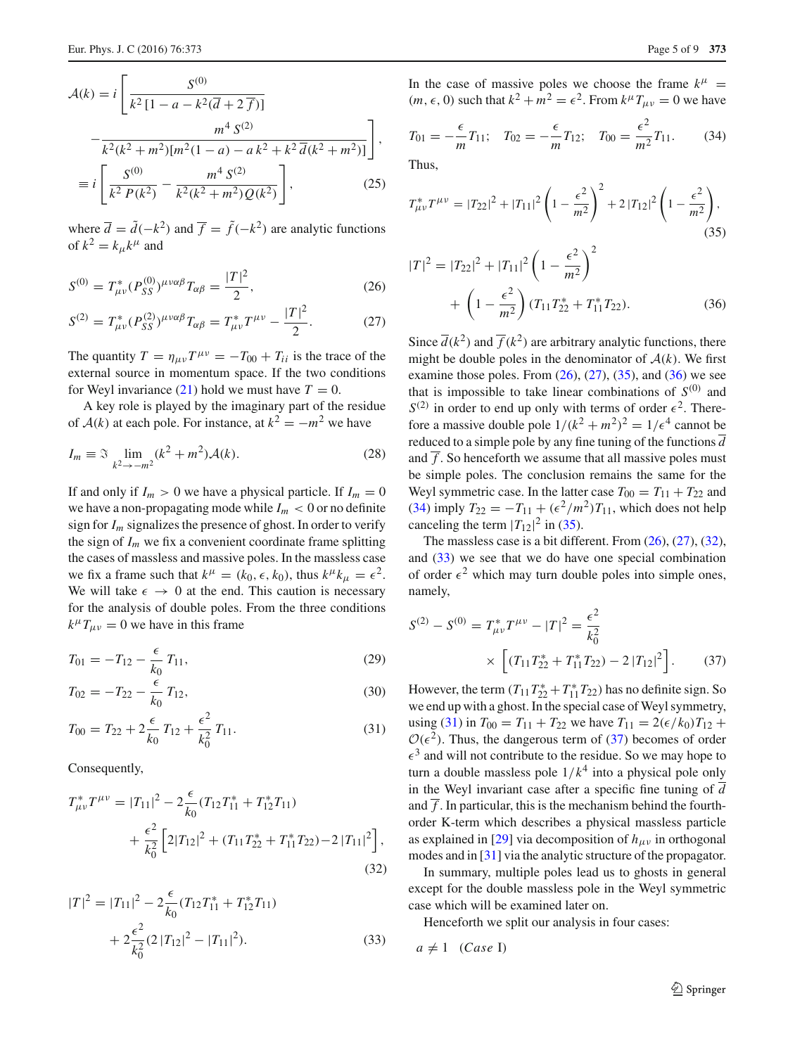<span id="page-4-8"></span>
$$
\mathcal{A}(k) = i \left[ \frac{S^{(0)}}{k^2 [1 - a - k^2 (\overline{d} + 2 \overline{f})]} - \frac{m^4 S^{(2)}}{k^2 (k^2 + m^2) [m^2 (1 - a) - a k^2 + k^2 \overline{d} (k^2 + m^2)]} \right],
$$
  

$$
\equiv i \left[ \frac{S^{(0)}}{k^2 P(k^2)} - \frac{m^4 S^{(2)}}{k^2 (k^2 + m^2) Q(k^2)} \right],
$$
(25)

where  $\overline{d} = \tilde{d}(-k^2)$  and  $\overline{f} = \tilde{f}(-k^2)$  are analytic functions of  $k^2 = k_\mu k^\mu$  and

<span id="page-4-0"></span>
$$
S^{(0)} = T_{\mu\nu}^* (P_{SS}^{(0)})^{\mu\nu\alpha\beta} T_{\alpha\beta} = \frac{|T|^2}{2},\tag{26}
$$

$$
S^{(2)} = T_{\mu\nu}^* (P_{SS}^{(2)})^{\mu\nu\alpha\beta} T_{\alpha\beta} = T_{\mu\nu}^* T^{\mu\nu} - \frac{|T|^2}{2}.
$$
 (27)

The quantity  $T = \eta_{\mu\nu} T^{\mu\nu} = -T_{00} + T_{ii}$  is the trace of the external source in momentum space. If the two conditions for Weyl invariance  $(21)$  hold we must have  $T = 0$ .

A key role is played by the imaginary part of the residue of  $A(k)$  at each pole. For instance, at  $k^2 = -m^2$  we have

$$
I_m \equiv \mathfrak{I} \lim_{k^2 \to -m^2} (k^2 + m^2) \mathcal{A}(k). \tag{28}
$$

If and only if  $I_m > 0$  we have a physical particle. If  $I_m = 0$ we have a non-propagating mode while  $I_m < 0$  or no definite sign for  $I_m$  signalizes the presence of ghost. In order to verify the sign of  $I_m$  we fix a convenient coordinate frame splitting the cases of massless and massive poles. In the massless case we fix a frame such that  $k^{\mu} = (k_0, \epsilon, k_0)$ , thus  $k^{\mu}k_{\mu} = \epsilon^2$ . We will take  $\epsilon \rightarrow 0$  at the end. This caution is necessary for the analysis of double poles. From the three conditions  $k^{\mu}T_{\mu\nu} = 0$  we have in this frame

<span id="page-4-6"></span>
$$
T_{01} = -T_{12} - \frac{\epsilon}{k_0} T_{11},\tag{29}
$$

$$
T_{02} = -T_{22} - \frac{\epsilon}{k_0} T_{12},\tag{30}
$$

$$
T_{00} = T_{22} + 2\frac{\epsilon}{k_0}T_{12} + \frac{\epsilon^2}{k_0^2}T_{11}.
$$
 (31)

Consequently,

<span id="page-4-4"></span>
$$
T_{\mu\nu}^* T^{\mu\nu} = |T_{11}|^2 - 2\frac{\epsilon}{k_0} (T_{12}T_{11}^* + T_{12}^* T_{11})
$$
  
+ 
$$
\frac{\epsilon^2}{k_0^2} \left[ 2|T_{12}|^2 + (T_{11}T_{22}^* + T_{11}^* T_{22}) - 2|T_{11}|^2 \right],
$$
  
(32)

<span id="page-4-5"></span>
$$
|T|^2 = |T_{11}|^2 - 2\frac{\epsilon}{k_0}(T_{12}T_{11}^* + T_{12}^*T_{11})
$$
  
+ 
$$
2\frac{\epsilon^2}{k_0^2}(2|T_{12}|^2 - |T_{11}|^2).
$$
 (33)

In the case of massive poles we choose the frame  $k^{\mu}$  =  $(m, \epsilon, 0)$  such that  $k^2 + m^2 = \epsilon^2$ . From  $k^\mu T_{\mu\nu} = 0$  we have

<span id="page-4-3"></span>
$$
T_{01} = -\frac{\epsilon}{m} T_{11}; \quad T_{02} = -\frac{\epsilon}{m} T_{12}; \quad T_{00} = \frac{\epsilon^2}{m^2} T_{11}.
$$
 (34)

Thus,

<span id="page-4-1"></span>
$$
T_{\mu\nu}^* T^{\mu\nu} = |T_{22}|^2 + |T_{11}|^2 \left(1 - \frac{\epsilon^2}{m^2}\right)^2 + 2|T_{12}|^2 \left(1 - \frac{\epsilon^2}{m^2}\right),\tag{35}
$$

<span id="page-4-2"></span>
$$
|T|^2 = |T_{22}|^2 + |T_{11}|^2 \left(1 - \frac{\epsilon^2}{m^2}\right)^2 + \left(1 - \frac{\epsilon^2}{m^2}\right) (T_{11}T_{22}^* + T_{11}^*T_{22}).
$$
 (36)

Since  $\overline{d}(k^2)$  and  $\overline{f}(k^2)$  are arbitrary analytic functions, there might be double poles in the denominator of  $A(k)$ . We first examine those poles. From  $(26)$ ,  $(27)$ ,  $(35)$ , and  $(36)$  we see that is impossible to take linear combinations of  $S^{(0)}$  and  $S^{(2)}$  in order to end up only with terms of order  $\epsilon^2$ . Therefore a massive double pole  $1/(k^2 + m^2)^2 = 1/\epsilon^4$  cannot be reduced to a simple pole by any fine tuning of the functions  $\overline{d}$ and  $\overline{f}$ . So henceforth we assume that all massive poles must be simple poles. The conclusion remains the same for the Weyl symmetric case. In the latter case  $T_{00} = T_{11} + T_{22}$  and [\(34\)](#page-4-3) imply  $T_{22} = -T_{11} + (\epsilon^2/m^2)T_{11}$ , which does not help canceling the term  $|T_{12}|^2$  in [\(35\)](#page-4-1).

The massless case is a bit different. From  $(26)$ ,  $(27)$ ,  $(32)$ , and [\(33\)](#page-4-5) we see that we do have one special combination of order  $\epsilon^2$  which may turn double poles into simple ones, namely,

<span id="page-4-7"></span>
$$
S^{(2)} - S^{(0)} = T_{\mu\nu}^* T^{\mu\nu} - |T|^2 = \frac{\epsilon^2}{k_0^2}
$$

$$
\times \left[ (T_{11} T_{22}^* + T_{11}^* T_{22}) - 2 |T_{12}|^2 \right]. \tag{37}
$$

However, the term  $(T_{11}T_{22}^* + T_{11}^*T_{22})$  has no definite sign. So we end up with a ghost. In the special case of Weyl symmetry, using [\(31\)](#page-4-6) in  $T_{00} = T_{11} + T_{22}$  we have  $T_{11} = 2(\epsilon/k_0)T_{12} +$  $\mathcal{O}(\epsilon^2)$ . Thus, the dangerous term of [\(37\)](#page-4-7) becomes of order  $\epsilon^3$  and will not contribute to the residue. So we may hope to turn a double massless pole  $1/k<sup>4</sup>$  into a physical pole only in the Weyl invariant case after a specific fine tuning of *d* and  $\overline{f}$ . In particular, this is the mechanism behind the fourthorder K-term which describes a physical massless particle as explained in [\[29](#page-8-24)] via decomposition of  $h_{\mu\nu}$  in orthogonal modes and in [\[31\]](#page-8-26) via the analytic structure of the propagator.

In summary, multiple poles lead us to ghosts in general except for the double massless pole in the Weyl symmetric case which will be examined later on.

Henceforth we split our analysis in four cases:

 $a \neq 1$  *(Case I)*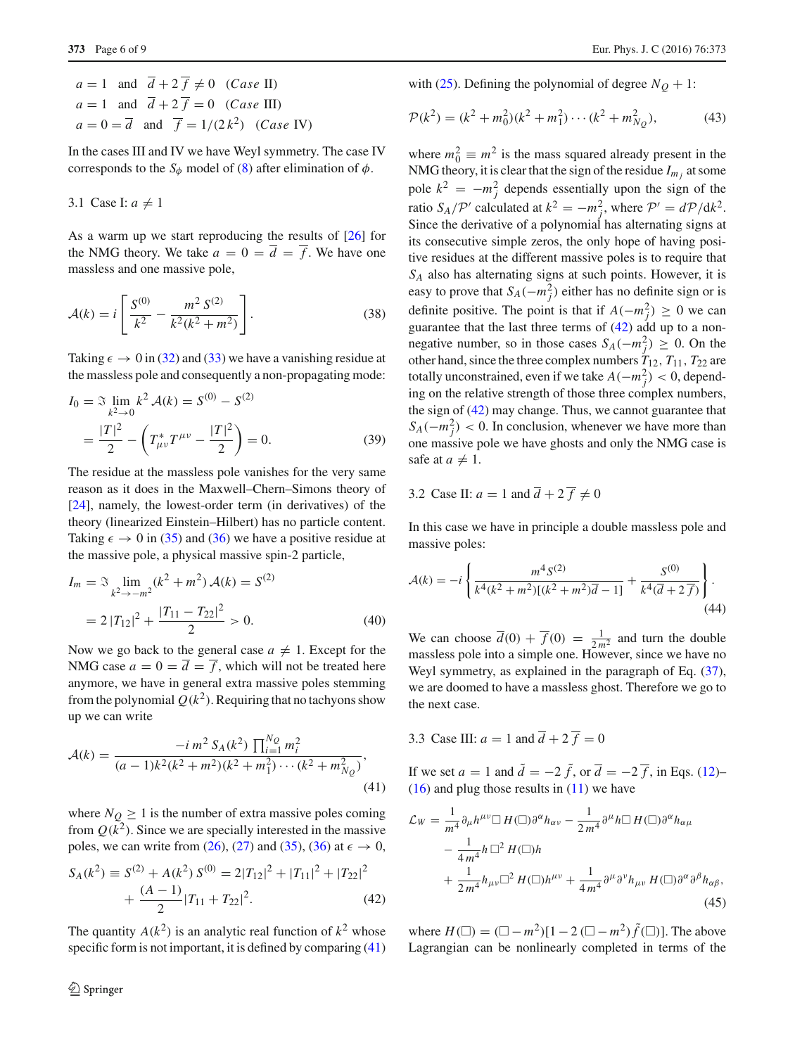$a = 1$  and  $\overline{d} + 2\overline{f} \neq 0$  (*Case* II)  $a = 1$  and  $\overline{d} + 2\overline{f} = 0$  (*Case* III)  $a = 0 = \overline{d}$  and  $\overline{f} = 1/(2k^2)$  (*Case* IV)

In the cases III and IV we have Weyl symmetry. The case IV corresponds to the  $S_{\phi}$  model of [\(8\)](#page-2-6) after elimination of  $\phi$ .

3.1 Case I:  $a \neq 1$ 

As a warm up we start reproducing the results of [\[26\]](#page-8-22) for the NMG theory. We take  $a = 0 = \overline{d} = \overline{f}$ . We have one massless and one massive pole,

<span id="page-5-0"></span>
$$
\mathcal{A}(k) = i \left[ \frac{S^{(0)}}{k^2} - \frac{m^2 S^{(2)}}{k^2 (k^2 + m^2)} \right].
$$
 (38)

Taking  $\epsilon \to 0$  in [\(32\)](#page-4-4) and [\(33\)](#page-4-5) we have a vanishing residue at the massless pole and consequently a non-propagating mode:

$$
I_0 = \mathfrak{I} \lim_{k^2 \to 0} k^2 \mathcal{A}(k) = S^{(0)} - S^{(2)}
$$
  
= 
$$
\frac{|T|^2}{2} - \left( T^*_{\mu\nu} T^{\mu\nu} - \frac{|T|^2}{2} \right) = 0.
$$
 (39)

The residue at the massless pole vanishes for the very same reason as it does in the Maxwell–Chern–Simons theory of [\[24](#page-8-18)], namely, the lowest-order term (in derivatives) of the theory (linearized Einstein–Hilbert) has no particle content. Taking  $\epsilon \to 0$  in [\(35\)](#page-4-1) and [\(36\)](#page-4-2) we have a positive residue at the massive pole, a physical massive spin-2 particle,

$$
I_m = \mathfrak{I} \lim_{k^2 \to -m^2} (k^2 + m^2) \mathcal{A}(k) = S^{(2)}
$$
  
=  $2 |T_{12}|^2 + \frac{|T_{11} - T_{22}|^2}{2} > 0.$  (40)

Now we go back to the general case  $a \neq 1$ . Except for the NMG case  $a = 0 = \overline{d} = \overline{f}$ , which will not be treated here anymore, we have in general extra massive poles stemming from the polynomial  $O(k^2)$ . Requiring that no tachyons show up we can write

<span id="page-5-1"></span>
$$
\mathcal{A}(k) = \frac{-i \, m^2 \, S_A(k^2) \, \prod_{i=1}^{N_Q} m_i^2}{(a-1)k^2(k^2+m^2)(k^2+m_1^2)\cdots(k^2+m_{N_Q}^2)},\tag{41}
$$

where  $N_Q \geq 1$  is the number of extra massive poles coming from  $Q(k^2)$ . Since we are specially interested in the massive poles, we can write from [\(26\)](#page-4-0), [\(27\)](#page-4-0) and [\(35\)](#page-4-1), [\(36\)](#page-4-2) at  $\epsilon \to 0$ ,

<span id="page-5-2"></span>
$$
S_A(k^2) \equiv S^{(2)} + A(k^2) S^{(0)} = 2|T_{12}|^2 + |T_{11}|^2 + |T_{22}|^2
$$
  
+ 
$$
\frac{(A-1)}{2}|T_{11} + T_{22}|^2.
$$
 (42)

The quantity  $A(k^2)$  is an analytic real function of  $k^2$  whose specific form is not important, it is defined by comparing  $(41)$  <span id="page-5-3"></span>with [\(25\)](#page-4-8). Defining the polynomial of degree  $N_Q + 1$ :

$$
\mathcal{P}(k^2) = (k^2 + m_0^2)(k^2 + m_1^2) \cdots (k^2 + m_{N_Q}^2),
$$
 (43)

where  $m_0^2 \equiv m^2$  is the mass squared already present in the NMG theory, it is clear that the sign of the residue  $I_{m_i}$  at some pole  $k^2 = -m_j^2$  depends essentially upon the sign of the ratio *S<sub>A</sub>*/ $\mathcal{P}'$  calculated at  $k^2 = -m_j^2$ , where  $\mathcal{P}' = d\mathcal{P}/dk^2$ . Since the derivative of a polynomial has alternating signs at its consecutive simple zeros, the only hope of having positive residues at the different massive poles is to require that *SA* also has alternating signs at such points. However, it is easy to prove that  $S_A(-m_j^2)$  either has no definite sign or is definite positive. The point is that if  $A(-m_j^2) \geq 0$  we can guarantee that the last three terms of [\(42\)](#page-5-2) add up to a nonnegative number, so in those cases  $S_A(-m_j^2) \geq 0$ . On the other hand, since the three complex numbers  $T_{12}$ ,  $T_{11}$ ,  $T_{22}$  are totally unconstrained, even if we take  $A(-m_j^2) < 0$ , depending on the relative strength of those three complex numbers, the sign of [\(42\)](#page-5-2) may change. Thus, we cannot guarantee that  $S_A(-m_j^2)$  < 0. In conclusion, whenever we have more than one massive pole we have ghosts and only the NMG case is safe at  $a \neq 1$ .

3.2 Case II: 
$$
a = 1
$$
 and  $\overline{d} + 2\overline{f} \neq 0$ 

In this case we have in principle a double massless pole and massive poles:

$$
\mathcal{A}(k) = -i \left\{ \frac{m^4 S^{(2)}}{k^4 (k^2 + m^2) [(k^2 + m^2) \overline{d} - 1]} + \frac{S^{(0)}}{k^4 (\overline{d} + 2 \overline{f})} \right\}.
$$
\n(44)

We can choose  $\overline{d}(0) + \overline{f}(0) = \frac{1}{2m^2}$  and turn the double massless pole into a simple one. However, since we have no Weyl symmetry, as explained in the paragraph of Eq.  $(37)$ , we are doomed to have a massless ghost. Therefore we go to the next case.

3.3 Case III:  $a = 1$  and  $\overline{d} + 2\overline{f} = 0$ 

If we set  $a = 1$  and  $\tilde{d} = -2 \tilde{f}$ , or  $\overline{d} = -2 \overline{f}$ , in Eqs. [\(12\)](#page-3-2)–  $(16)$  and plug those results in  $(11)$  we have

$$
\mathcal{L}_W = \frac{1}{m^4} \partial_\mu h^{\mu\nu} \Box H(\Box) \partial^\alpha h_{\alpha\nu} - \frac{1}{2 m^4} \partial^\mu h \Box H(\Box) \partial^\alpha h_{\alpha\mu} \n- \frac{1}{4 m^4} h \Box^2 H(\Box) h \n+ \frac{1}{2 m^4} h_{\mu\nu} \Box^2 H(\Box) h^{\mu\nu} + \frac{1}{4 m^4} \partial^\mu \partial^\nu h_{\mu\nu} H(\Box) \partial^\alpha \partial^\beta h_{\alpha\beta},
$$
\n(45)

where  $H(\Box) = (\Box - m^2)[1 - 2 (\Box - m^2) \tilde{f}(\Box)].$  The above Lagrangian can be nonlinearly completed in terms of the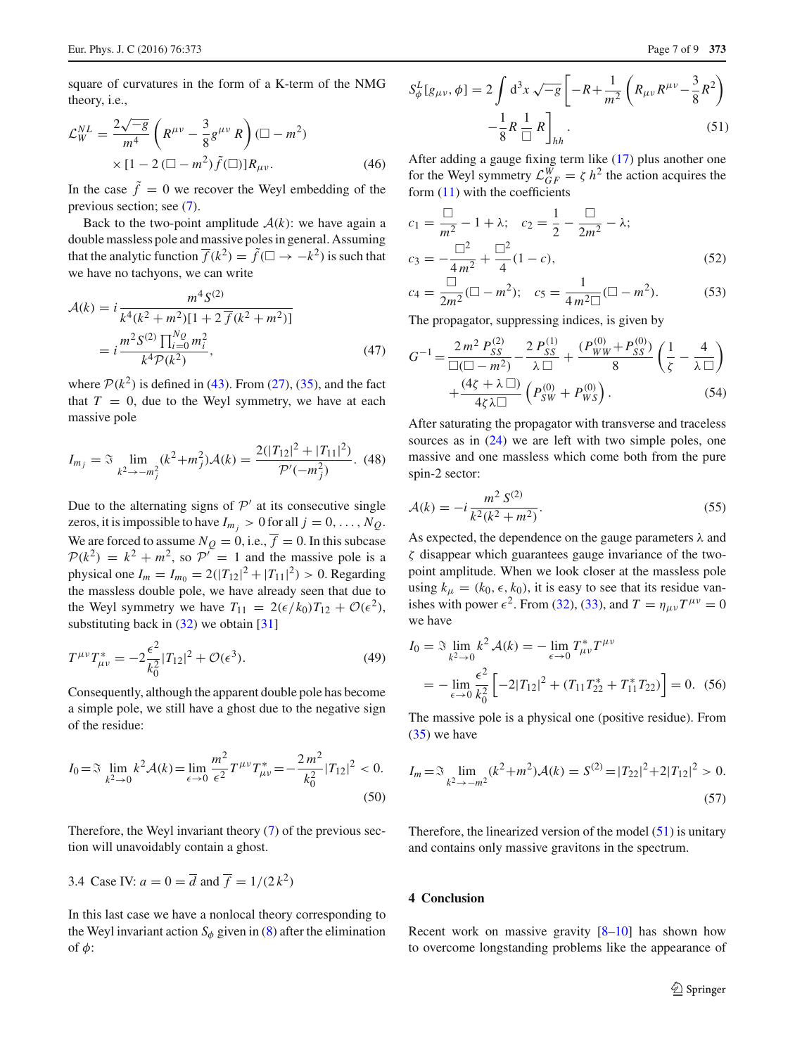square of curvatures in the form of a K-term of the NMG theory, i.e.,

$$
\mathcal{L}_{W}^{NL} = \frac{2\sqrt{-g}}{m^{4}} \left( R^{\mu\nu} - \frac{3}{8} g^{\mu\nu} R \right) (\Box - m^{2})
$$
  
× [1 - 2 (\Box - m^{2}) \tilde{f}(\Box)] R\_{\mu\nu}. (46)

In the case  $\tilde{f} = 0$  we recover the Weyl embedding of the previous section; see [\(7\)](#page-2-4).

Back to the two-point amplitude  $A(k)$ : we have again a double massless pole and massive poles in general. Assuming that the analytic function  $\overline{f}(k^2) = \tilde{f}(\square \to -k^2)$  is such that we have no tachyons, we can write

$$
\mathcal{A}(k) = i \frac{m^4 S^{(2)}}{k^4 (k^2 + m^2) [1 + 2 \overline{f}(k^2 + m^2)]}
$$

$$
= i \frac{m^2 S^{(2)} \prod_{i=0}^{N_Q} m_i^2}{k^4 \mathcal{P}(k^2)},
$$
(47)

where  $P(k^2)$  is defined in [\(43\)](#page-5-3). From [\(27\)](#page-4-0), [\(35\)](#page-4-1), and the fact that  $T = 0$ , due to the Weyl symmetry, we have at each massive pole

$$
I_{m_j} = \mathfrak{I} \lim_{k^2 \to -m_j^2} (k^2 + m_j^2) \mathcal{A}(k) = \frac{2(|T_{12}|^2 + |T_{11}|^2)}{\mathcal{P}'(-m_j^2)}.
$$
 (48)

Due to the alternating signs of  $P'$  at its consecutive single zeros, it is impossible to have  $I_{m_i} > 0$  for all  $j = 0, \ldots, N_Q$ . We are forced to assume  $N_Q = 0$ , i.e.,  $\overline{f} = 0$ . In this subcase  $P(k^2) = k^2 + m^2$ , so  $P' = 1$  and the massive pole is a physical one  $I_m = I_{m_0} = 2(|T_{12}|^2 + |T_{11}|^2) > 0$ . Regarding the massless double pole, we have already seen that due to the Weyl symmetry we have  $T_{11} = 2(\epsilon/k_0)T_{12} + \mathcal{O}(\epsilon^2)$ , substituting back in  $(32)$  we obtain [\[31](#page-8-26)]

$$
T^{\mu\nu}T_{\mu\nu}^* = -2\frac{\epsilon^2}{k_0^2}|T_{12}|^2 + \mathcal{O}(\epsilon^3). \tag{49}
$$

Consequently, although the apparent double pole has become a simple pole, we still have a ghost due to the negative sign of the residue:

$$
I_0 = \mathfrak{I} \lim_{k^2 \to 0} k^2 \mathcal{A}(k) = \lim_{\epsilon \to 0} \frac{m^2}{\epsilon^2} T^{\mu \nu} T_{\mu \nu}^* = -\frac{2m^2}{k_0^2} |T_{12}|^2 < 0. \tag{50}
$$

Therefore, the Weyl invariant theory [\(7\)](#page-2-4) of the previous section will unavoidably contain a ghost.

3.4 Case IV: 
$$
a = 0 = \overline{d}
$$
 and  $\overline{f} = 1/(2k^2)$ 

In this last case we have a nonlocal theory corresponding to the Weyl invariant action  $S_{\phi}$  given in [\(8\)](#page-2-6) after the elimination of  $\phi$ :

<span id="page-6-1"></span>
$$
S_{\phi}^{L}[g_{\mu\nu}, \phi] = 2 \int d^{3}x \sqrt{-g} \left[ -R + \frac{1}{m^{2}} \left( R_{\mu\nu} R^{\mu\nu} - \frac{3}{8} R^{2} \right) - \frac{1}{8} R \frac{1}{\Box} R \right]_{hh}.
$$
 (51)

After adding a gauge fixing term like [\(17\)](#page-3-5) plus another one for the Weyl symmetry  $\mathcal{L}_{GF}^{W} = \zeta h^2$  the action acquires the form  $(11)$  with the coefficients

$$
c_1 = \frac{\square}{m^2} - 1 + \lambda; \quad c_2 = \frac{1}{2} - \frac{\square}{2m^2} - \lambda; \nc_3 = -\frac{\square^2}{4m^2} + \frac{\square^2}{4}(1 - c),
$$
\n(52)

$$
c_4 = \frac{\Box}{2m^2} (\Box - m^2); \quad c_5 = \frac{1}{4m^2 \Box} (\Box - m^2). \tag{53}
$$

The propagator, suppressing indices, is given by

$$
G^{-1} = \frac{2m^2 P_{SS}^{(2)}}{\square(\square - m^2)} - \frac{2 P_{SS}^{(1)}}{\lambda \square} + \frac{(P_{WW}^{(0)} + P_{SS}^{(0)})}{8} \left(\frac{1}{\zeta} - \frac{4}{\lambda \square}\right) + \frac{(4\zeta + \lambda \square)}{4\zeta\lambda \square} \left(P_{SW}^{(0)} + P_{WS}^{(0)}\right). \tag{54}
$$

After saturating the propagator with transverse and traceless sources as in  $(24)$  we are left with two simple poles, one massive and one massless which come both from the pure spin-2 sector:

$$
\mathcal{A}(k) = -i \frac{m^2 S^{(2)}}{k^2 (k^2 + m^2)}.
$$
\n(55)

As expected, the dependence on the gauge parameters  $\lambda$  and ζ disappear which guarantees gauge invariance of the twopoint amplitude. When we look closer at the massless pole using  $k_{\mu} = (k_0, \epsilon, k_0)$ , it is easy to see that its residue vanishes with power  $\epsilon^2$ . From [\(32\)](#page-4-4), [\(33\)](#page-4-5), and  $T = \eta_{\mu\nu} T^{\mu\nu} = 0$ we have

$$
I_0 = \mathfrak{I} \lim_{k^2 \to 0} k^2 \mathcal{A}(k) = -\lim_{\epsilon \to 0} T_{\mu\nu}^* T^{\mu\nu}
$$
  
=  $-\lim_{\epsilon \to 0} \frac{\epsilon^2}{k_0^2} \left[ -2|T_{12}|^2 + (T_{11}T_{22}^* + T_{11}^* T_{22}) \right] = 0.$  (56)

The massive pole is a physical one (positive residue). From  $(35)$  we have

$$
I_m = \mathfrak{I} \lim_{k^2 \to -m^2} (k^2 + m^2) \mathcal{A}(k) = S^{(2)} = |T_{22}|^2 + 2|T_{12}|^2 > 0.
$$
\n(57)

Therefore, the linearized version of the model  $(51)$  is unitary and contains only massive gravitons in the spectrum.

#### <span id="page-6-0"></span>**4 Conclusion**

Recent work on massive gravity  $[8-10]$  $[8-10]$  has shown how to overcome longstanding problems like the appearance of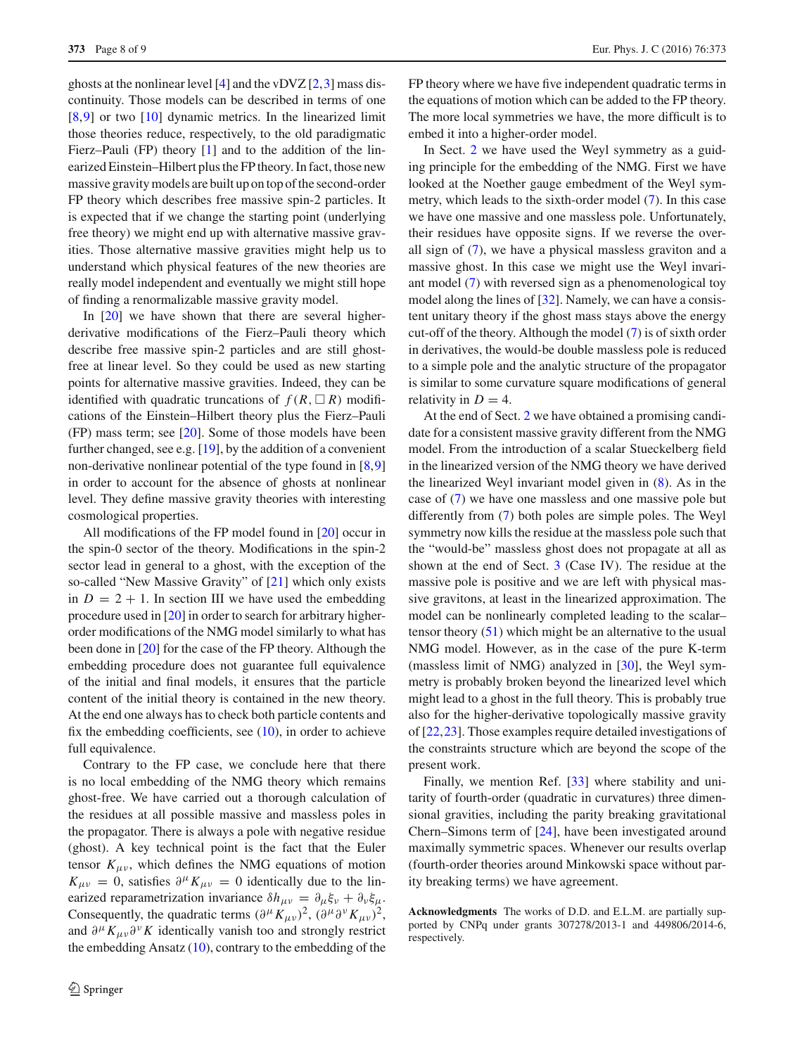ghosts at the nonlinear level [\[4](#page-8-5)] and the vDVZ [\[2](#page-8-1),[3\]](#page-8-6) mass discontinuity. Those models can be described in terms of one [\[8](#page-8-7),[9\]](#page-8-8) or two [\[10\]](#page-8-9) dynamic metrics. In the linearized limit those theories reduce, respectively, to the old paradigmatic Fierz–Pauli (FP) theory [\[1](#page-8-0)] and to the addition of the linearized Einstein–Hilbert plus the FP theory. In fact, those new massive gravity models are built up on top of the second-order FP theory which describes free massive spin-2 particles. It is expected that if we change the starting point (underlying free theory) we might end up with alternative massive gravities. Those alternative massive gravities might help us to understand which physical features of the new theories are really model independent and eventually we might still hope of finding a renormalizable massive gravity model.

In [\[20\]](#page-8-14) we have shown that there are several higherderivative modifications of the Fierz–Pauli theory which describe free massive spin-2 particles and are still ghostfree at linear level. So they could be used as new starting points for alternative massive gravities. Indeed, they can be identified with quadratic truncations of  $f(R, \Box R)$  modifications of the Einstein–Hilbert theory plus the Fierz–Pauli (FP) mass term; see [\[20\]](#page-8-14). Some of those models have been further changed, see e.g. [\[19\]](#page-8-13), by the addition of a convenient non-derivative nonlinear potential of the type found in [\[8,](#page-8-7)[9\]](#page-8-8) in order to account for the absence of ghosts at nonlinear level. They define massive gravity theories with interesting cosmological properties.

All modifications of the FP model found in [\[20\]](#page-8-14) occur in the spin-0 sector of the theory. Modifications in the spin-2 sector lead in general to a ghost, with the exception of the so-called "New Massive Gravity" of [\[21\]](#page-8-15) which only exists in  $D = 2 + 1$ . In section III we have used the embedding procedure used in [\[20\]](#page-8-14) in order to search for arbitrary higherorder modifications of the NMG model similarly to what has been done in [\[20\]](#page-8-14) for the case of the FP theory. Although the embedding procedure does not guarantee full equivalence of the initial and final models, it ensures that the particle content of the initial theory is contained in the new theory. At the end one always has to check both particle contents and fix the embedding coefficients, see  $(10)$ , in order to achieve full equivalence.

Contrary to the FP case, we conclude here that there is no local embedding of the NMG theory which remains ghost-free. We have carried out a thorough calculation of the residues at all possible massive and massless poles in the propagator. There is always a pole with negative residue (ghost). A key technical point is the fact that the Euler tensor  $K_{\mu\nu}$ , which defines the NMG equations of motion  $K_{\mu\nu} = 0$ , satisfies  $\partial^{\mu} K_{\mu\nu} = 0$  identically due to the linearized reparametrization invariance  $\delta h_{\mu\nu} = \partial_{\mu} \xi_{\nu} + \partial_{\nu} \xi_{\mu}$ . Consequently, the quadratic terms  $(\partial^{\mu} K_{\mu\nu})^2$ ,  $(\partial^{\mu} \partial^{\nu} K_{\mu\nu})^2$ , and  $\partial^{\mu} K_{\mu\nu} \partial^{\nu} K$  identically vanish too and strongly restrict the embedding Ansatz  $(10)$ , contrary to the embedding of the FP theory where we have five independent quadratic terms in the equations of motion which can be added to the FP theory. The more local symmetries we have, the more difficult is to embed it into a higher-order model.

In Sect. [2](#page-1-1) we have used the Weyl symmetry as a guiding principle for the embedding of the NMG. First we have looked at the Noether gauge embedment of the Weyl symmetry, which leads to the sixth-order model [\(7\)](#page-2-4). In this case we have one massive and one massless pole. Unfortunately, their residues have opposite signs. If we reverse the overall sign of [\(7\)](#page-2-4), we have a physical massless graviton and a massive ghost. In this case we might use the Weyl invariant model [\(7\)](#page-2-4) with reversed sign as a phenomenological toy model along the lines of [\[32](#page-8-27)]. Namely, we can have a consistent unitary theory if the ghost mass stays above the energy cut-off of the theory. Although the model [\(7\)](#page-2-4) is of sixth order in derivatives, the would-be double massless pole is reduced to a simple pole and the analytic structure of the propagator is similar to some curvature square modifications of general relativity in  $D = 4$ .

At the end of Sect. [2](#page-1-1) we have obtained a promising candidate for a consistent massive gravity different from the NMG model. From the introduction of a scalar Stueckelberg field in the linearized version of the NMG theory we have derived the linearized Weyl invariant model given in [\(8\)](#page-2-6). As in the case of [\(7\)](#page-2-4) we have one massless and one massive pole but differently from [\(7\)](#page-2-4) both poles are simple poles. The Weyl symmetry now kills the residue at the massless pole such that the "would-be" massless ghost does not propagate at all as shown at the end of Sect. [3](#page-2-0) (Case IV). The residue at the massive pole is positive and we are left with physical massive gravitons, at least in the linearized approximation. The model can be nonlinearly completed leading to the scalar– tensor theory [\(51\)](#page-6-1) which might be an alternative to the usual NMG model. However, as in the case of the pure K-term (massless limit of NMG) analyzed in [\[30](#page-8-25)], the Weyl symmetry is probably broken beyond the linearized level which might lead to a ghost in the full theory. This is probably true also for the higher-derivative topologically massive gravity of [\[22,](#page-8-16)[23\]](#page-8-17). Those examples require detailed investigations of the constraints structure which are beyond the scope of the present work.

Finally, we mention Ref. [\[33](#page-8-28)] where stability and unitarity of fourth-order (quadratic in curvatures) three dimensional gravities, including the parity breaking gravitational Chern–Simons term of [\[24](#page-8-18)], have been investigated around maximally symmetric spaces. Whenever our results overlap (fourth-order theories around Minkowski space without parity breaking terms) we have agreement.

**Acknowledgments** The works of D.D. and E.L.M. are partially supported by CNPq under grants 307278/2013-1 and 449806/2014-6, respectively.